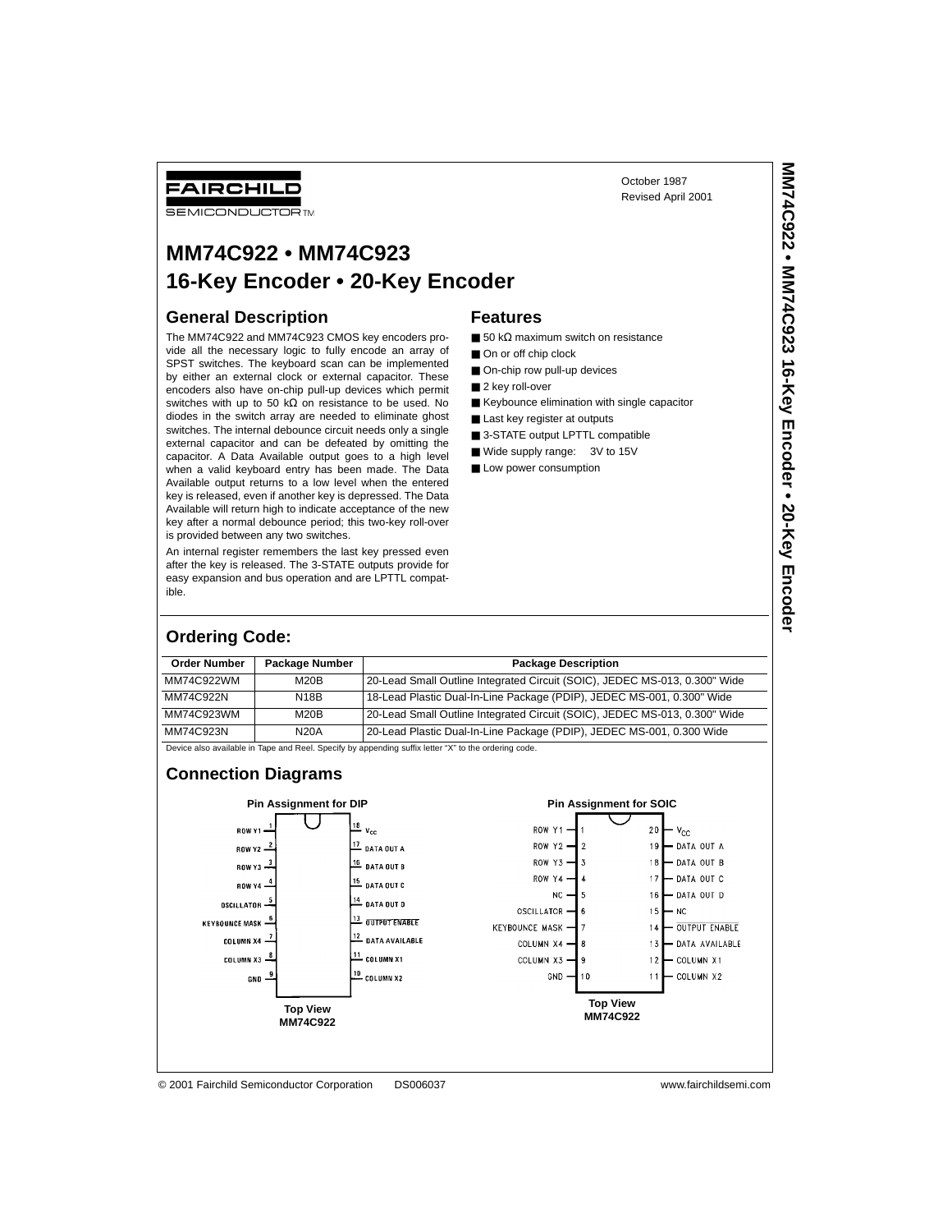# **MM74C922 • MM74C923 16-Key Encoder • 20-Key Encoder**

### **General Description**

FAIRCHILD **SEMICONDUCTOR TM** 

The MM74C922 and MM74C923 CMOS key encoders provide all the necessary logic to fully encode an array of SPST switches. The keyboard scan can be implemented by either an external clock or external capacitor. These encoders also have on-chip pull-up devices which permit switches with up to 50 kΩ on resistance to be used. No diodes in the switch array are needed to eliminate ghost switches. The internal debounce circuit needs only a single external capacitor and can be defeated by omitting the capacitor. A Data Available output goes to a high level when a valid keyboard entry has been made. The Data Available output returns to a low level when the entered key is released, even if another key is depressed. The Data Available will return high to indicate acceptance of the new key after a normal debounce period; this two-key roll-over is provided between any two switches.

An internal register remembers the last key pressed even after the key is released. The 3-STATE outputs provide for easy expansion and bus operation and are LPTTL compatible.

#### **Features**

- 50 kΩ maximum switch on resistance
- On or off chip clock
- On-chip row pull-up devices
- 2 key roll-over
- Keybounce elimination with single capacitor

October 1987 Revised April 2001

- Last key register at outputs
- 3-STATE output LPTTL compatible
- Wide supply range: 3V to 15V ■ Low power consumption

**MM74C922 • MM74C923 16-Key Encoder • 20-Key Encoder** MM74C922 • MM74C923 16-Key Encoder • 20-Key Encode

#### **Ordering Code:**

| <b>Order Number</b> | <b>Package Number</b> | <b>Package Description</b>                                                 |  |  |  |
|---------------------|-----------------------|----------------------------------------------------------------------------|--|--|--|
| MM74C922WM          | M20B                  | 20-Lead Small Outline Integrated Circuit (SOIC), JEDEC MS-013, 0.300" Wide |  |  |  |
| MM74C922N           | <b>N18B</b>           | 18-Lead Plastic Dual-In-Line Package (PDIP), JEDEC MS-001, 0.300" Wide     |  |  |  |
| MM74C923WM          | M20B                  | 20-Lead Small Outline Integrated Circuit (SOIC), JEDEC MS-013, 0.300" Wide |  |  |  |
| MM74C923N           | <b>N20A</b>           | 20-Lead Plastic Dual-In-Line Package (PDIP), JEDEC MS-001, 0.300 Wide      |  |  |  |

Device also available in Tape and Reel. Specify by appending suffix letter "X" to the ordering code.

#### **Connection Diagrams**

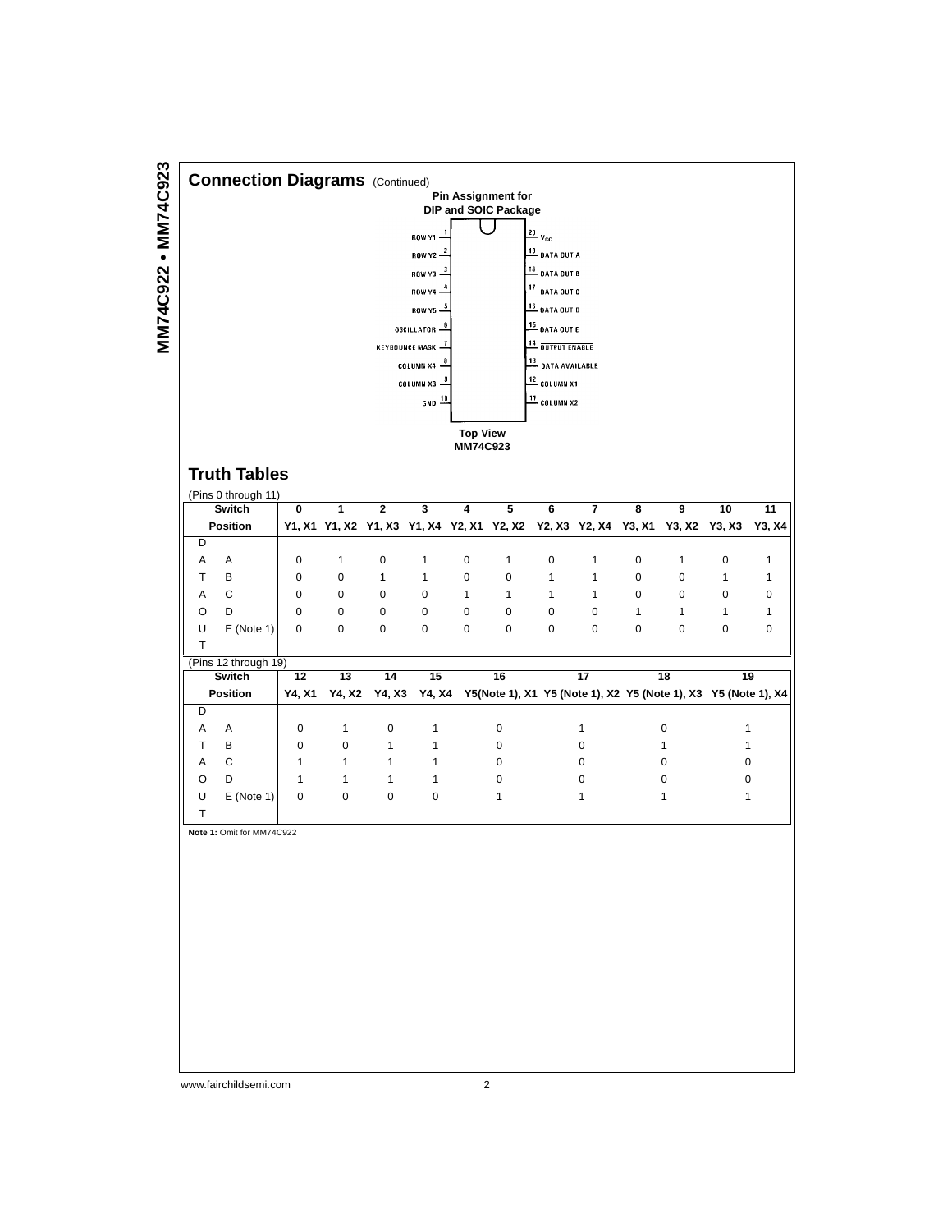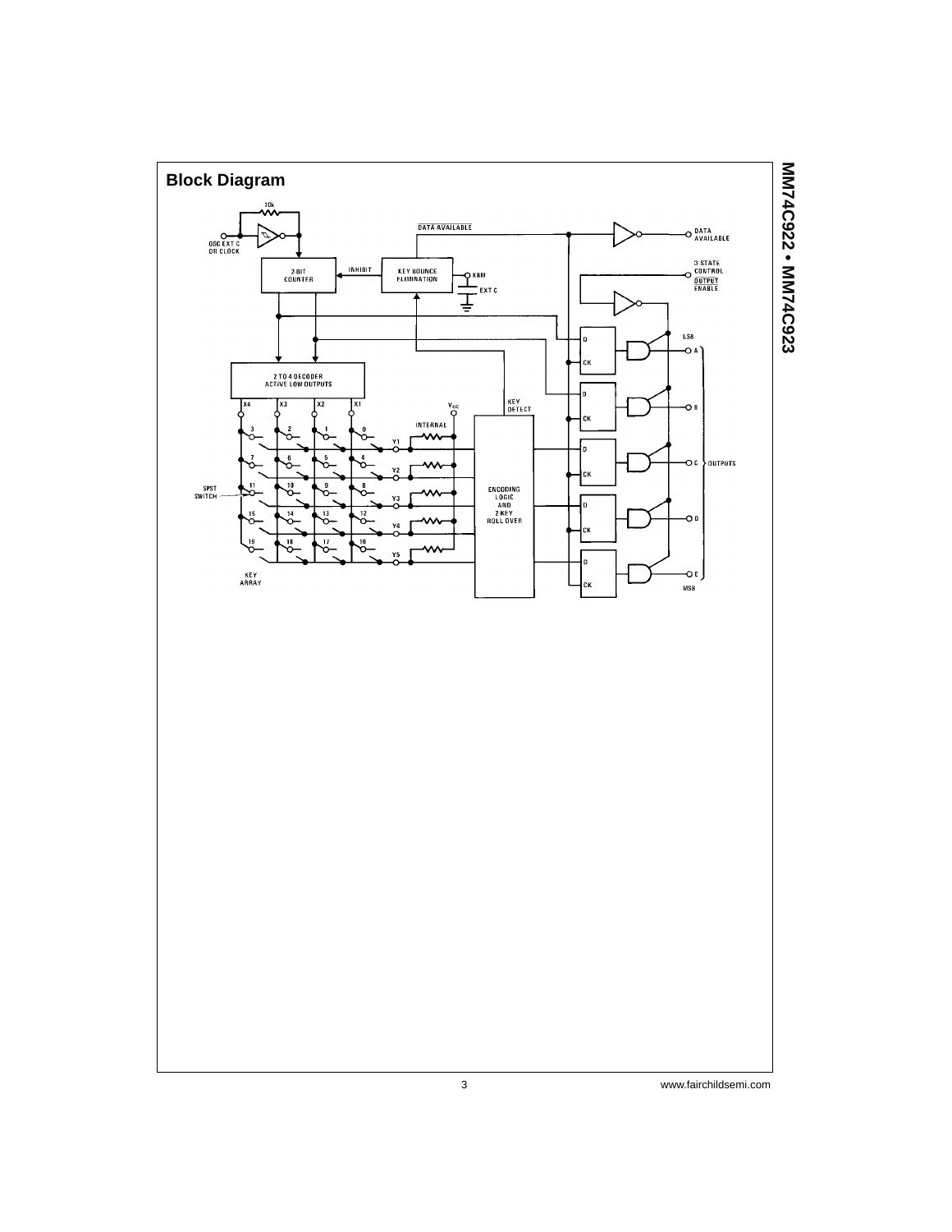

MM74C922 . MM74C923 **MM74C922 • MM74C923**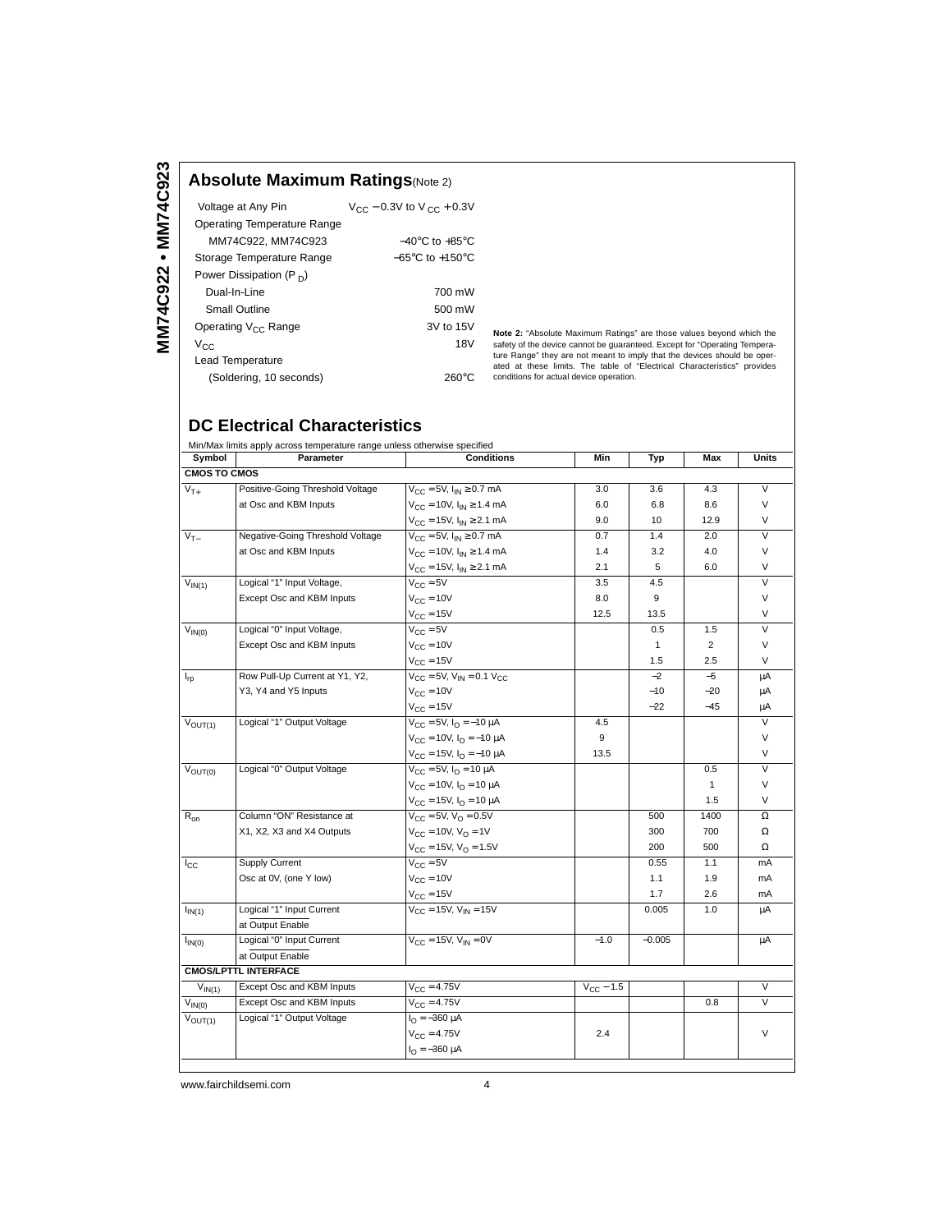### **Absolute Maximum Ratings**(Note 2)

| Voltage at Any Pin                  | $V_{CC}$ – 0.3V to V $_{CC}$ + 0.3V |
|-------------------------------------|-------------------------------------|
| Operating Temperature Range         |                                     |
| MM74C922. MM74C923                  | $-40^{\circ}$ C to $+85^{\circ}$ C  |
| Storage Temperature Range           | $-65^{\circ}$ C to $+150^{\circ}$ C |
| Power Dissipation (P <sub>D</sub> ) |                                     |
| Dual-In-Line                        | 700 mW                              |
| Small Outline                       | 500 mW                              |
| Operating V <sub>CC</sub> Range     | 3V to 15V                           |
| Vcc.                                | 18V                                 |
| <b>Lead Temperature</b>             |                                     |
| (Soldering, 10 seconds)             | 260°C                               |

**Note 2:** "Absolute Maximum Ratings" are those values beyond which the safety of the device cannot be guaranteed. Except for "Operating Temperature Range" they are not meant to imply that the devices should be operated at conditions for actual device operation.

## **DC Electrical Characteristics**

| Min/Max limits apply across temperature range unless otherwise specified |                                  |                                                         |                    |              |                |                         |  |  |
|--------------------------------------------------------------------------|----------------------------------|---------------------------------------------------------|--------------------|--------------|----------------|-------------------------|--|--|
| Symbol                                                                   | Parameter                        | <b>Conditions</b>                                       | Min                | Typ          | Max            | Units                   |  |  |
| <b>CMOS TO CMOS</b>                                                      |                                  |                                                         |                    |              |                |                         |  |  |
| $V_{T+}$                                                                 | Positive-Going Threshold Voltage | $V_{CC} = 5V$ , $I_{IN} \ge 0.7$ mA                     | 3.0                | 3.6          | 4.3            | $\vee$                  |  |  |
|                                                                          | at Osc and KBM Inputs            | $V_{\text{CC}} = 10V, I_{\text{IN}} \ge 1.4 \text{ mA}$ | 6.0                | 6.8          | 8.6            | V                       |  |  |
|                                                                          |                                  | $V_{CC}$ = 15V, $I_{IN} \ge 2.1$ mA                     | 9.0                | 10           | 12.9           | V                       |  |  |
| $\overline{V_{T-}}$                                                      | Negative-Going Threshold Voltage | $V_{\text{CC}} = 5V$ , $I_{\text{IN}} \ge 0.7$ mA       | 0.7                | 1.4          | 2.0            | $\vee$                  |  |  |
|                                                                          | at Osc and KBM Inputs            | $V_{CC} = 10V$ , $I_{IN} \ge 1.4$ mA                    | 1.4                | 3.2          | 4.0            | V                       |  |  |
|                                                                          |                                  | $V_{CC}$ = 15V, $I_{IN} \ge 2.1$ mA                     | 2.1                | 5            | 6.0            | $\vee$                  |  |  |
| $V_{IN(1)}$                                                              | Logical "1" Input Voltage,       | $V_{\rm CC} = 5V$                                       | 3.5                | 4.5          |                | $\vee$                  |  |  |
|                                                                          | Except Osc and KBM Inputs        | $V_{CC} = 10V$                                          | 8.0                | 9            |                | $\vee$                  |  |  |
|                                                                          |                                  | $V_{\text{C} \text{C}} = 15V$                           | 12.5               | 13.5         |                | $\vee$                  |  |  |
| $V_{IN(0)}$                                                              | Logical "0" Input Voltage,       | $V_{\text{C} \text{C}} = 5V$                            |                    | 0.5          | 1.5            | $\overline{\mathsf{v}}$ |  |  |
|                                                                          | Except Osc and KBM Inputs        | $V_{C}$ = 10V                                           |                    | $\mathbf{1}$ | $\overline{2}$ | V                       |  |  |
|                                                                          |                                  | $V_{CC} = 15V$                                          |                    | 1.5          | 2.5            | V                       |  |  |
| $I_{rp}$                                                                 | Row Pull-Up Current at Y1, Y2,   | $V_{CC} = 5V$ , $V_{IN} = 0.1 V_{CC}$                   |                    | $-2$         | $-5$           | μA                      |  |  |
|                                                                          | Y3, Y4 and Y5 Inputs             | $V_{C}$ = 10V                                           |                    | $-10$        | $-20$          | μA                      |  |  |
|                                                                          |                                  | $V_{CC} = 15V$                                          |                    | $-22$        | $-45$          | μA                      |  |  |
| $\overline{V}_{OUT(1)}$                                                  | Logical "1" Output Voltage       | $V_{CC} = 5V$ , $I_{O} = -10 \mu A$                     | 4.5                |              |                | $\vee$                  |  |  |
|                                                                          |                                  | $V_{\text{CC}} = 10V, I_{\text{O}} = -10 \mu A$         | 9                  |              |                | V                       |  |  |
|                                                                          |                                  | $V_{\text{CC}} = 15V$ , $I_{\text{O}} = -10 \mu A$      | 13.5               |              |                | V                       |  |  |
| $\overline{V}_{\text{OUT}(0)}$                                           | Logical "0" Output Voltage       | $V_{\text{CC}} = 5V$ , $I_{\text{O}} = 10 \mu$ A        |                    |              | 0.5            | $\overline{V}$          |  |  |
|                                                                          |                                  | $V_{C} = 10V$ , $I_{O} = 10 \mu A$                      |                    |              | $\mathbf{1}$   | V                       |  |  |
|                                                                          |                                  | $V_{CC}$ = 15V, $I_{O}$ = 10 $\mu$ A                    |                    |              | 1.5            | $\vee$                  |  |  |
| $R_{on}$                                                                 | Column "ON" Resistance at        | $V_{\text{CC}} = 5V$ , $V_{\text{O}} = 0.5V$            |                    | 500          | 1400           | Ω                       |  |  |
|                                                                          | X1, X2, X3 and X4 Outputs        | $V_{C} = 10V, V_{O} = 1V$                               |                    | 300          | 700            | $\Omega$                |  |  |
|                                                                          |                                  | $V_{\rm CC} = 15V$ , $V_{\rm O} = 1.5V$                 |                    | 200          | 500            | $\Omega$                |  |  |
| $_{\rm lcc}$                                                             | Supply Current                   | $V_{\Gamma} = 5V$                                       |                    | 0.55         | 1.1            | mA                      |  |  |
|                                                                          | Osc at 0V, (one Y low)           | $V_{C}$ = 10V                                           |                    | 1.1          | 1.9            | mA                      |  |  |
|                                                                          |                                  | $V_{CC} = 15V$                                          |                    | 1.7          | 2.6            | mA                      |  |  |
| $I_{IN(1)}$                                                              | Logical "1" Input Current        | $V_{CC}$ = 15V, $V_{IN}$ = 15V                          |                    | 0.005        | 1.0            | μA                      |  |  |
|                                                                          | at Output Enable                 |                                                         |                    |              |                |                         |  |  |
| $I_{IN(0)}$                                                              | Logical "0" Input Current        | $V_{CC}$ = 15V, $V_{IN}$ = 0V                           | $-1.0$             | $-0.005$     |                | μA                      |  |  |
|                                                                          | at Output Enable                 |                                                         |                    |              |                |                         |  |  |
|                                                                          | <b>CMOS/LPTTL INTERFACE</b>      |                                                         |                    |              |                |                         |  |  |
| $V_{IN(1)}$                                                              | Except Osc and KBM Inputs        | $V_{C} = 4.75V$                                         | $V_{\rm CC}$ – 1.5 |              |                | $\vee$                  |  |  |
| $V_{IN(0)}$                                                              | Except Osc and KBM Inputs        | $V_{CC} = 4.75V$                                        |                    |              | 0.8            | $\vee$                  |  |  |
| $\bar{V}_{OUT(1)}$                                                       | Logical "1" Output Voltage       | $I_{\Omega} = -360 \mu A$                               |                    |              |                |                         |  |  |
|                                                                          |                                  | $V_{C} = 4.75V$                                         | 2.4                |              |                | V                       |  |  |
|                                                                          |                                  | $I_{\Omega} = -360 \mu A$                               |                    |              |                |                         |  |  |
|                                                                          |                                  |                                                         |                    |              |                |                         |  |  |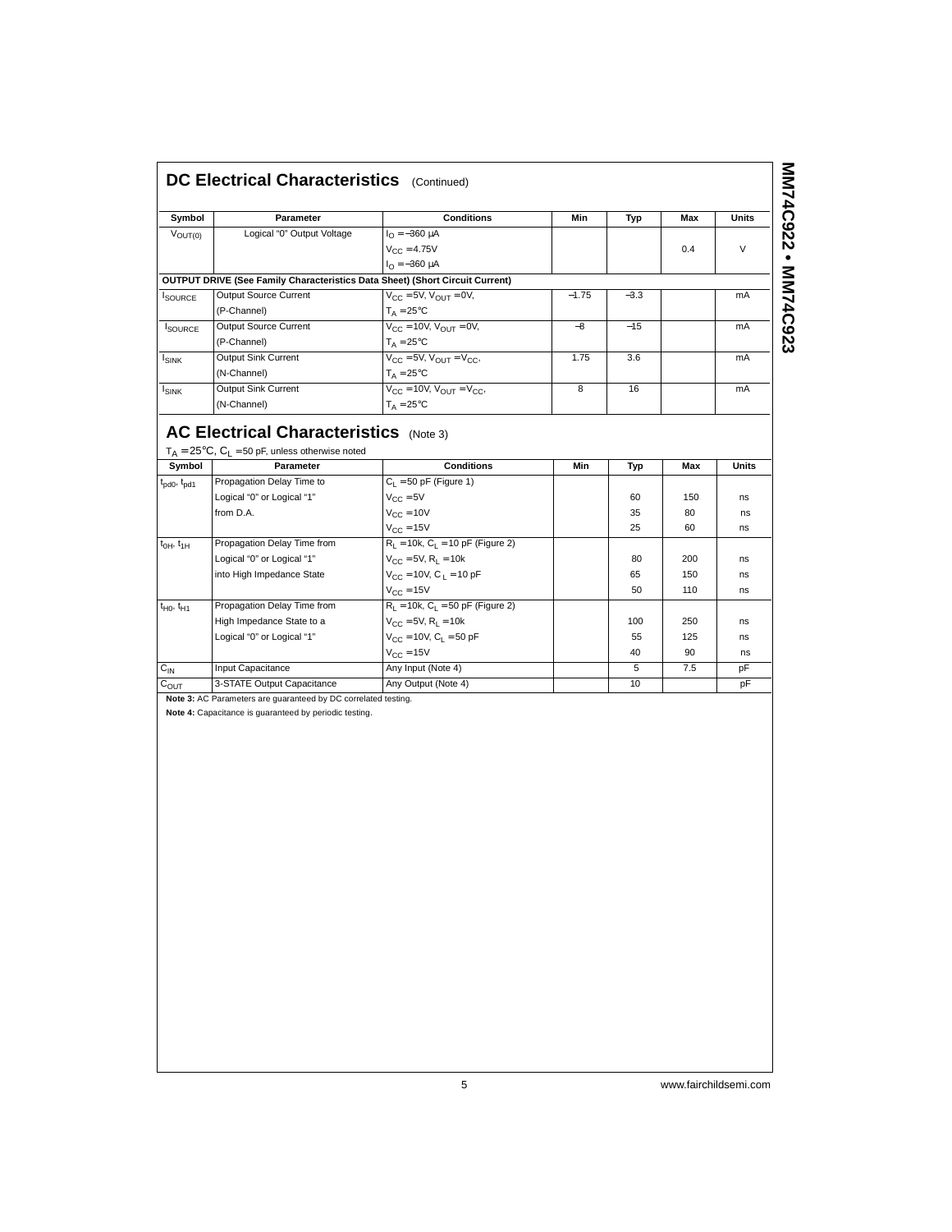| DC Electrical Characteristics (Continued) |  |
|-------------------------------------------|--|
|                                           |  |

| DC Electrical Characteristics (Continued) |                                                                                     |                                                 |         |        |     |              |
|-------------------------------------------|-------------------------------------------------------------------------------------|-------------------------------------------------|---------|--------|-----|--------------|
| Symbol                                    | <b>Parameter</b>                                                                    | <b>Conditions</b>                               | Min     | Typ    | Max | <b>Units</b> |
| $V_{\text{OUT}(0)}$                       | Logical "0" Output Voltage                                                          | $I_0 = -360 \mu A$                              |         |        |     |              |
|                                           |                                                                                     | $V_{C} = 4.75V$                                 |         |        | 0.4 | $\vee$       |
|                                           |                                                                                     | $I_{\Omega} = -360 \mu A$                       |         |        |     |              |
|                                           | <b>OUTPUT DRIVE (See Family Characteristics Data Sheet) (Short Circuit Current)</b> |                                                 |         |        |     |              |
| <b>ISOURCE</b>                            | <b>Output Source Current</b>                                                        | $V_{CC}$ = 5V, $V_{OUT}$ = 0V,                  | $-1.75$ | $-3.3$ |     | mA           |
|                                           | (P-Channel)                                                                         | $T_A = 25$ °C                                   |         |        |     |              |
| <b>SOURCE</b>                             | <b>Output Source Current</b>                                                        | $V_{\text{CC}} = 10V$ , $V_{\text{OUT}} = 0V$ , | $-8$    | $-15$  |     | mA           |
|                                           | (P-Channel)                                                                         | $T_A = 25$ °C                                   |         |        |     |              |
| I <sub>SINK</sub>                         | Output Sink Current                                                                 | $V_{CC}$ = 5V, $V_{OUT}$ = $V_{CC}$ ,           | 1.75    | 3.6    |     | mA           |
|                                           | (N-Channel)                                                                         | $T_A = 25^{\circ}C$                             |         |        |     |              |
| $I_{SINK}$                                | <b>Output Sink Current</b>                                                          | $V_{CC} = 10V$ , $V_{OUT} = V_{CC}$             | 8       | 16     |     | mA           |
|                                           | (N-Channel)                                                                         | $T_A = 25^{\circ}C$                             |         |        |     |              |

## **AC Electrical Characteristics** (Note 3)

| Symbol                              | Parameter                   | <b>Conditions</b>                      | Min | Typ | Max | Units |
|-------------------------------------|-----------------------------|----------------------------------------|-----|-----|-----|-------|
| $t_{\text{pd0}}$ , $t_{\text{pd1}}$ | Propagation Delay Time to   | $C_1 = 50$ pF (Figure 1)               |     |     |     |       |
|                                     | Logical "0" or Logical "1"  | $V_{C}$ = 5V                           |     | 60  | 150 | ns    |
|                                     | from D.A.                   | $V_{CC} = 10V$                         |     | 35  | 80  | ns    |
|                                     |                             | $V_{CC} = 15V$                         |     | 25  | 60  | ns    |
| $t_{OH}$ , $t_{1H}$                 | Propagation Delay Time from | $R_L = 10k$ , $C_L = 10$ pF (Figure 2) |     |     |     |       |
|                                     | Logical "0" or Logical "1"  | $V_{CC} = 5V$ , $R_1 = 10k$            |     | 80  | 200 | ns    |
|                                     | into High Impedance State   | $V_{CC}$ = 10V, C <sub>1</sub> = 10 pF |     | 65  | 150 | ns    |
|                                     |                             | $V_{\text{CC}} = 15V$                  |     | 50  | 110 | ns    |
| $t_{H0}$ , $t_{H1}$                 | Propagation Delay Time from | $R_1 = 10k$ , $C_1 = 50$ pF (Figure 2) |     |     |     |       |
|                                     | High Impedance State to a   | $V_{CC} = 5V$ , $R_L = 10k$            |     | 100 | 250 | ns    |
|                                     | Logical "0" or Logical "1"  | $V_{CC} = 10V$ , $C_L = 50$ pF         |     | 55  | 125 | ns    |
|                                     |                             | $V_{\text{CC}} = 15V$                  |     | 40  | 90  | ns    |
| $C_{IN}$                            | Input Capacitance           | Any Input (Note 4)                     |     | 5   | 7.5 | pF    |
| $C_{OUT}$                           | 3-STATE Output Capacitance  | Any Output (Note 4)                    |     | 10  |     | pF    |

**Note 3:** AC Parameters are guaranteed by DC correlated testing.

**Note 4:** Capacitance is guaranteed by periodic testing.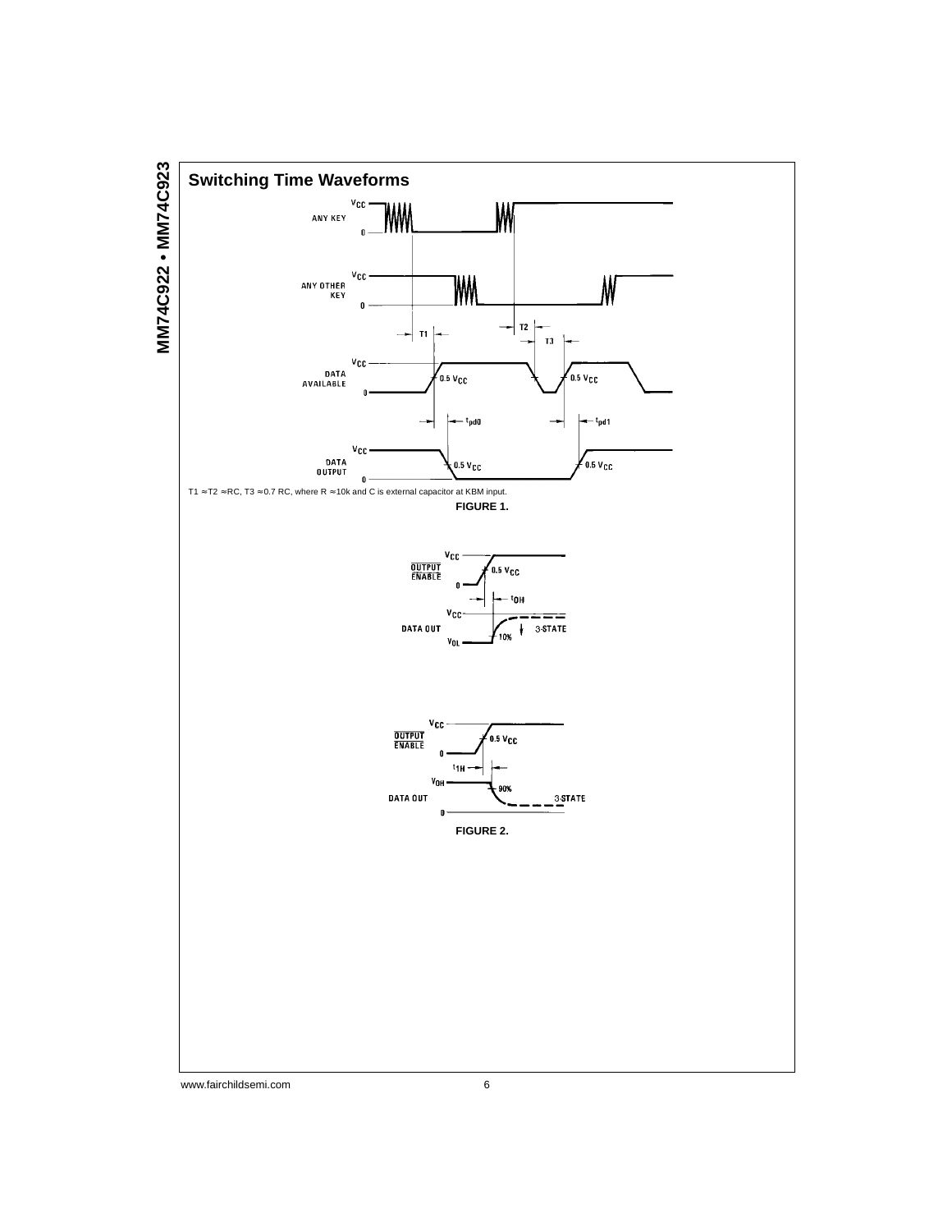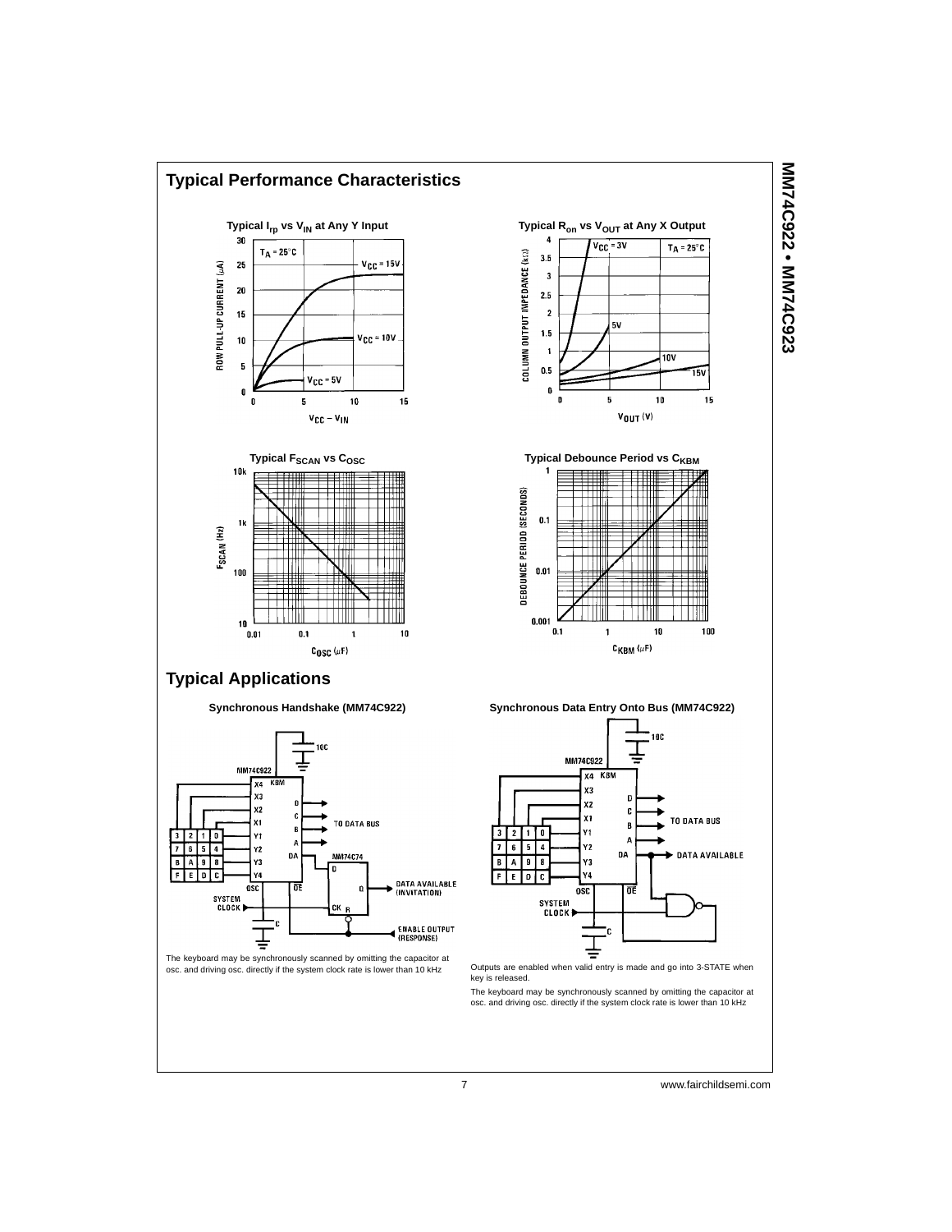

MM74C922 • MM74C923 **MM74C922 • MM74C923**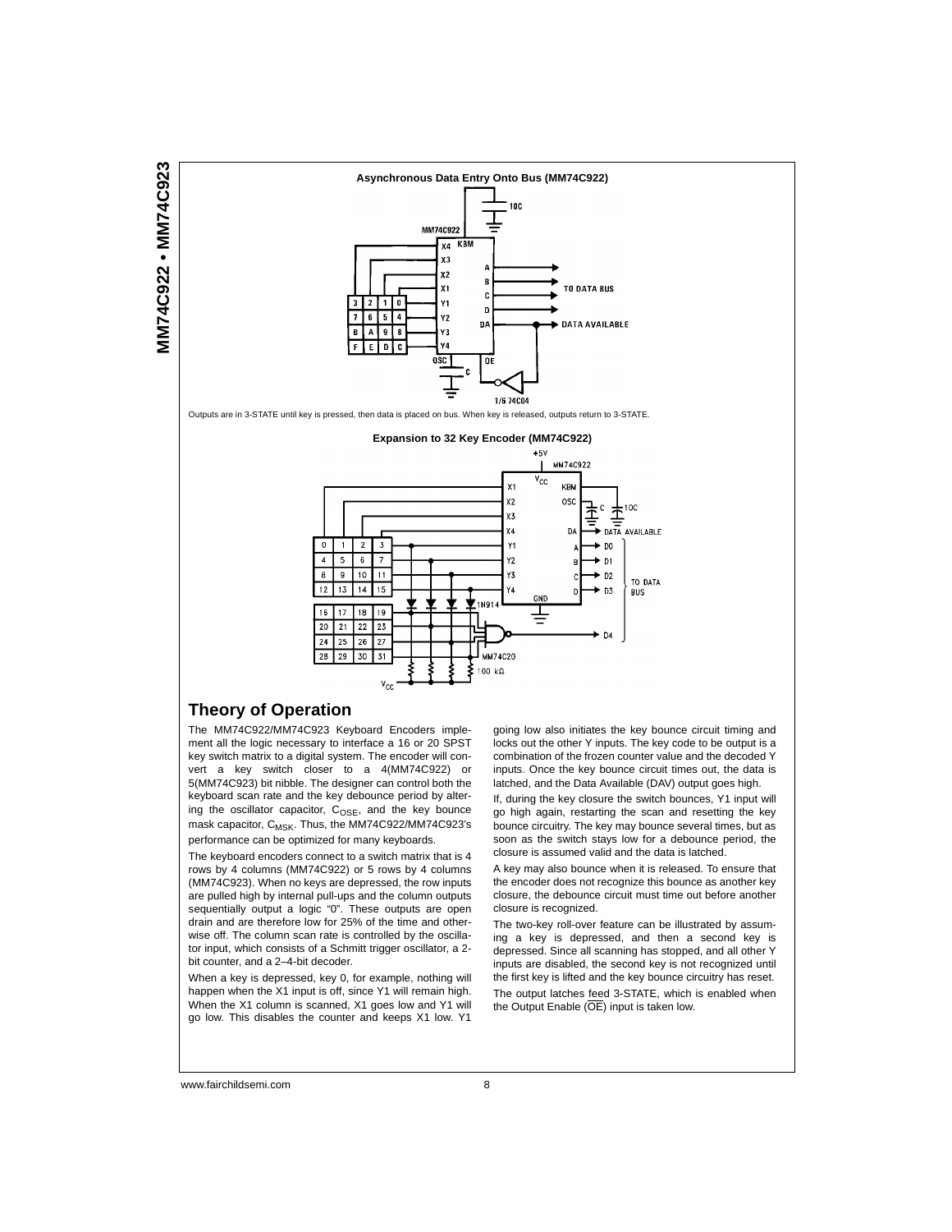



Outputs are in 3-STATE until key is pressed, then data is placed on bus. When key is released, outputs return to 3-STATE.



#### **Theory of Operation**

The MM74C922/MM74C923 Keyboard Encoders implement all the logic necessary to interface a 16 or 20 SPST key switch matrix to a digital system. The encoder will convert a key switch closer to a 4(MM74C922) or 5(MM74C923) bit nibble. The designer can control both the keyboard scan rate and the key debounce period by altering the oscillator capacitor,  $C_{OSE}$ , and the key bounce mask capacitor, C<sub>MSK</sub>. Thus, the MM74C922/MM74C923's performance can be optimized for many keyboards.

The keyboard encoders connect to a switch matrix that is 4 rows by 4 columns (MM74C922) or 5 rows by 4 columns (MM74C923). When no keys are depressed, the row inputs are pulled high by internal pull-ups and the column outputs sequentially output a logic "0". These outputs are open drain and are therefore low for 25% of the time and otherwise off. The column scan rate is controlled by the oscillator input, which consists of a Schmitt trigger oscillator, a 2 bit counter, and a 2–4-bit decoder.

When a key is depressed, key 0, for example, nothing will happen when the X1 input is off, since Y1 will remain high. When the X1 column is scanned, X1 goes low and Y1 will go low. This disables the counter and keeps X1 low. Y1

going low also initiates the key bounce circuit timing and locks out the other Y inputs. The key code to be output is a combination of the frozen counter value and the decoded Y inputs. Once the key bounce circuit times out, the data is latched, and the Data Available (DAV) output goes high.

If, during the key closure the switch bounces, Y1 input will go high again, restarting the scan and resetting the key bounce circuitry. The key may bounce several times, but as soon as the switch stays low for a debounce period, the closure is assumed valid and the data is latched.

A key may also bounce when it is released. To ensure that the encoder does not recognize this bounce as another key closure, the debounce circuit must time out before another closure is recognized.

The two-key roll-over feature can be illustrated by assuming a key is depressed, and then a second key is depressed. Since all scanning has stopped, and all other Y inputs are disabled, the second key is not recognized until the first key is lifted and the key bounce circuitry has reset. The output latches feed 3-STATE, which is enabled when the Output Enable  $(OE)$  input is taken low.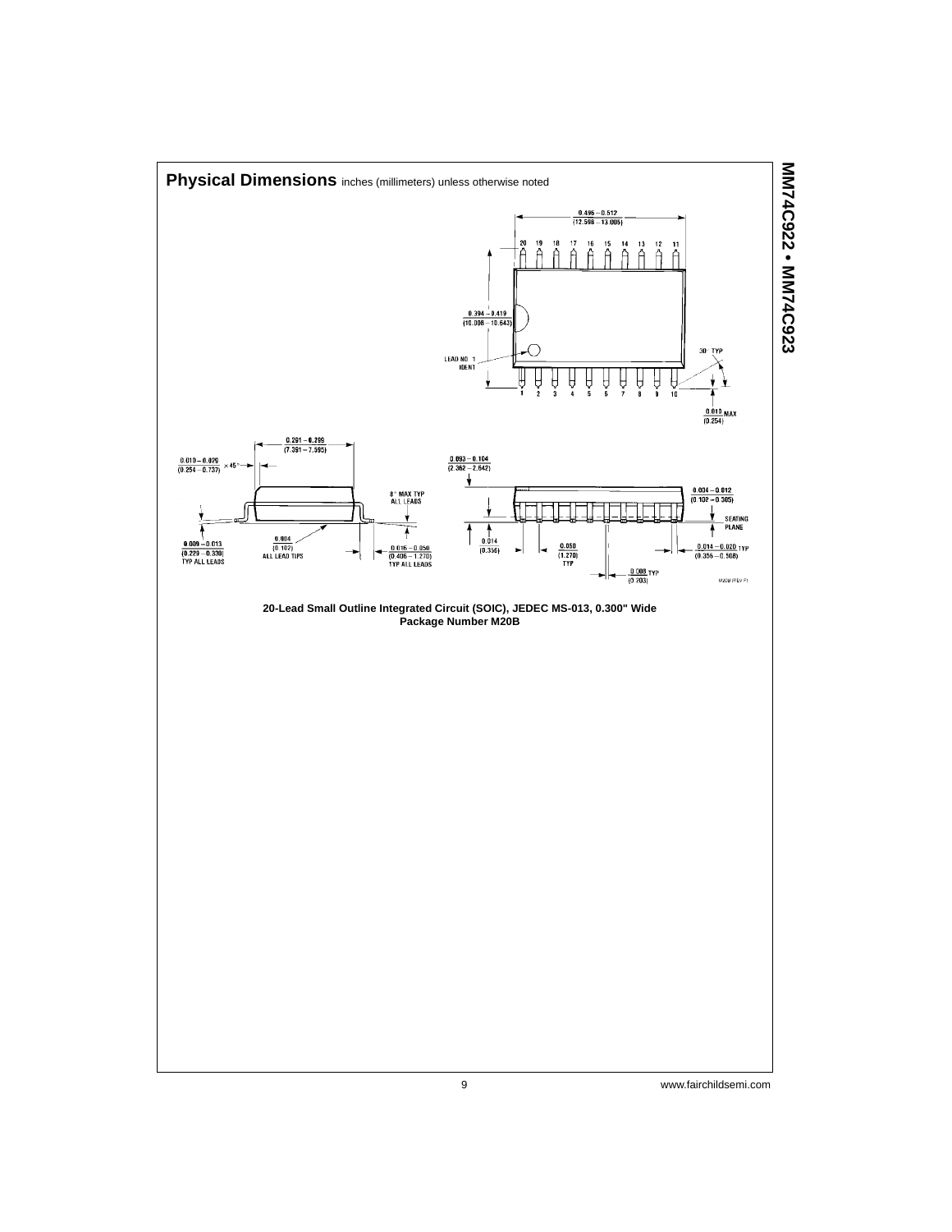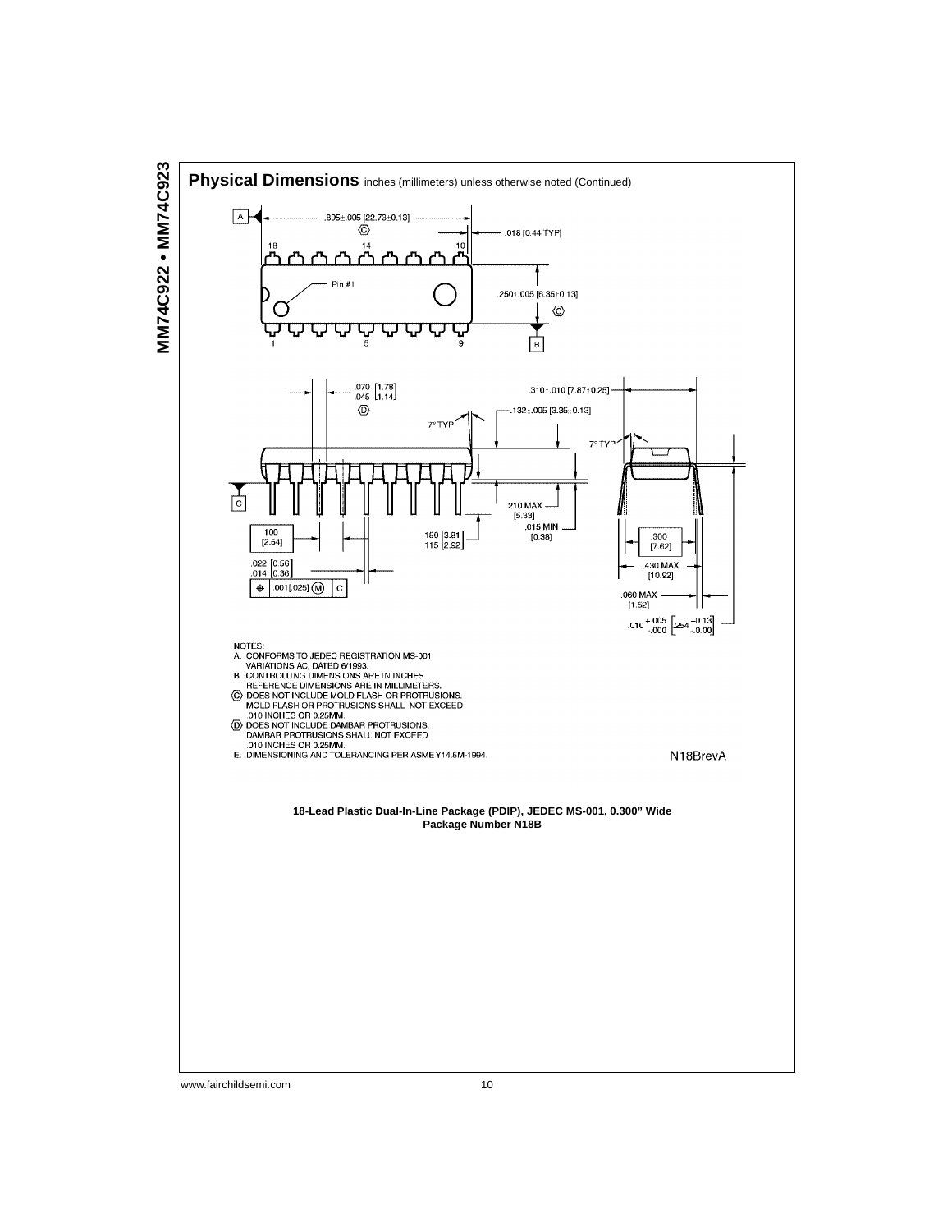